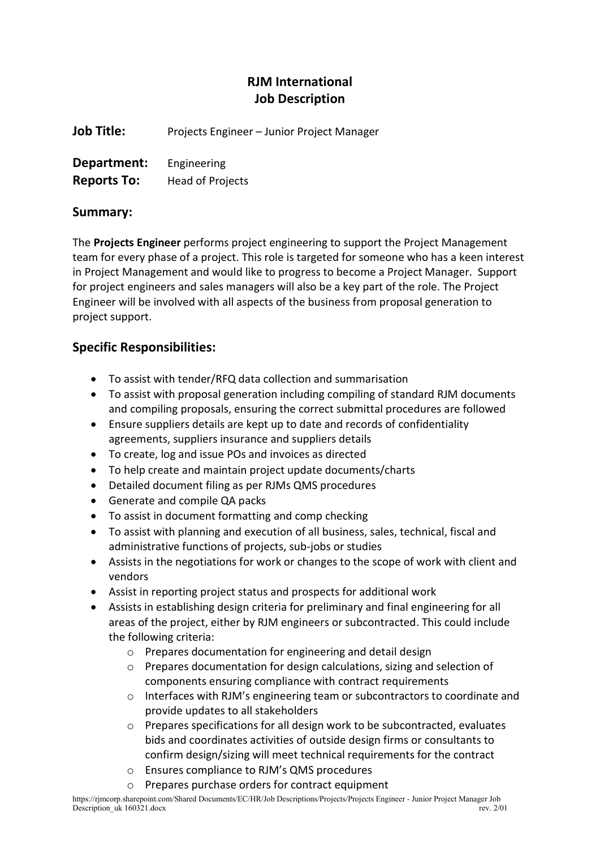# RJM International Job Description

Job Title: Projects Engineer – Junior Project Manager

| Department:        | Engineering      |
|--------------------|------------------|
| <b>Reports To:</b> | Head of Projects |

## Summary:

The Projects Engineer performs project engineering to support the Project Management team for every phase of a project. This role is targeted for someone who has a keen interest in Project Management and would like to progress to become a Project Manager. Support for project engineers and sales managers will also be a key part of the role. The Project Engineer will be involved with all aspects of the business from proposal generation to project support.

## Specific Responsibilities:

- To assist with tender/RFQ data collection and summarisation
- To assist with proposal generation including compiling of standard RJM documents and compiling proposals, ensuring the correct submittal procedures are followed
- Ensure suppliers details are kept up to date and records of confidentiality agreements, suppliers insurance and suppliers details
- To create, log and issue POs and invoices as directed
- To help create and maintain project update documents/charts
- Detailed document filing as per RJMs QMS procedures
- Generate and compile QA packs
- To assist in document formatting and comp checking
- To assist with planning and execution of all business, sales, technical, fiscal and administrative functions of projects, sub-jobs or studies
- Assists in the negotiations for work or changes to the scope of work with client and vendors
- Assist in reporting project status and prospects for additional work
- Assists in establishing design criteria for preliminary and final engineering for all areas of the project, either by RJM engineers or subcontracted. This could include the following criteria:
	- o Prepares documentation for engineering and detail design
	- o Prepares documentation for design calculations, sizing and selection of components ensuring compliance with contract requirements
	- $\circ$  Interfaces with RJM's engineering team or subcontractors to coordinate and provide updates to all stakeholders
	- $\circ$  Prepares specifications for all design work to be subcontracted, evaluates bids and coordinates activities of outside design firms or consultants to confirm design/sizing will meet technical requirements for the contract
	- o Ensures compliance to RJM's QMS procedures
	- o Prepares purchase orders for contract equipment